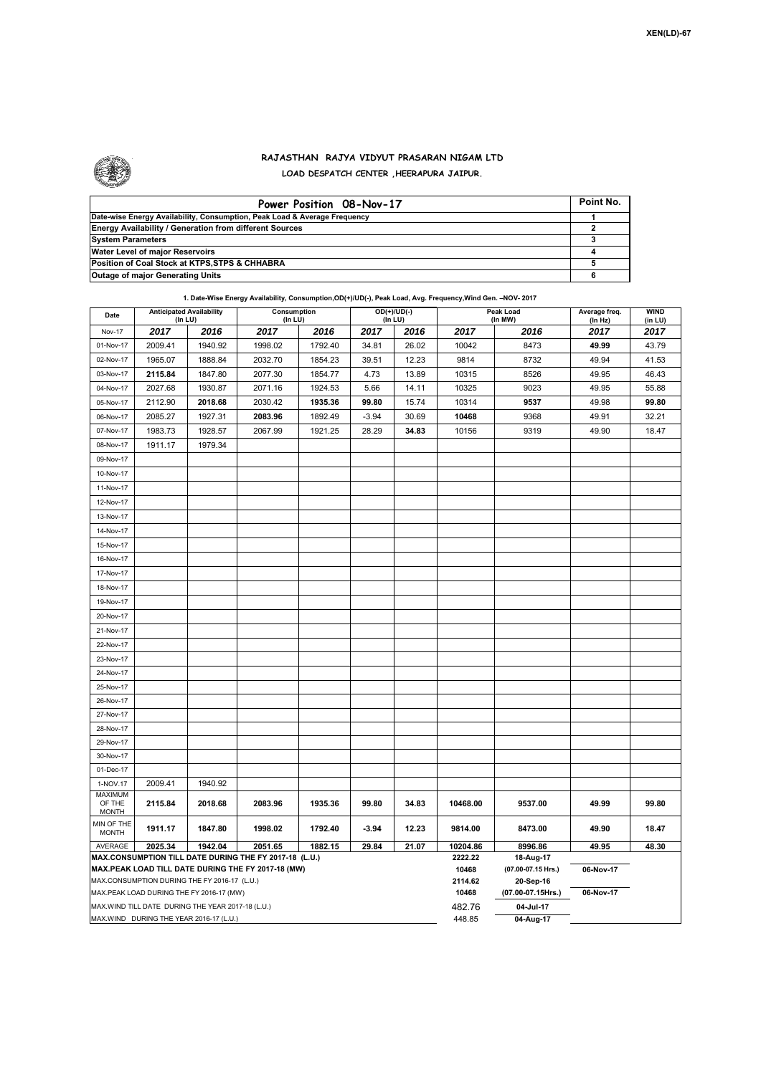

## **RAJASTHAN RAJYA VIDYUT PRASARAN NIGAM LTD LOAD DESPATCH CENTER ,HEERAPURA JAIPUR.**

| Power Position 08-Nov-17                                                  | Point No. |
|---------------------------------------------------------------------------|-----------|
| Date-wise Energy Availability, Consumption, Peak Load & Average Frequency |           |
| <b>Energy Availability / Generation from different Sources</b>            |           |
| <b>System Parameters</b>                                                  |           |
| Water Level of major Reservoirs                                           |           |
| Position of Coal Stock at KTPS, STPS & CHHABRA                            |           |
| <b>Outage of major Generating Units</b>                                   |           |

|                                                          |         |         | 1. Date-Wise Energy Availability, Consumption, OD(+)/UD(-), Peak Load, Avg. Frequency, Wind Gen. -NOV-2017 |         |         |                                |       |                       |                          |                        |
|----------------------------------------------------------|---------|---------|------------------------------------------------------------------------------------------------------------|---------|---------|--------------------------------|-------|-----------------------|--------------------------|------------------------|
| <b>Anticipated Availability</b><br>Date<br>$($ In LU $)$ |         |         | Consumption<br>(In LU)                                                                                     |         |         | $OD(+)/UD(-)$<br>$($ In LU $)$ |       | Peak Load<br>(ln M W) | Average freq.<br>(ln Hz) | <b>WIND</b><br>(in LU) |
| <b>Nov-17</b>                                            | 2017    | 2016    | 2017                                                                                                       | 2016    | 2017    | 2016                           | 2017  | 2016                  | 2017                     | 2017                   |
| 01-Nov-17                                                | 2009.41 | 1940.92 | 1998.02                                                                                                    | 1792.40 | 34.81   | 26.02                          | 10042 | 8473                  | 49.99                    | 43.79                  |
| 02-Nov-17                                                | 1965.07 | 1888.84 | 2032.70                                                                                                    | 1854.23 | 39.51   | 12.23                          | 9814  | 8732                  | 49.94                    | 41.53                  |
| 03-Nov-17                                                | 2115.84 | 1847.80 | 2077.30                                                                                                    | 1854.77 | 4.73    | 13.89                          | 10315 | 8526                  | 49.95                    | 46.43                  |
| 04-Nov-17                                                | 2027.68 | 1930.87 | 2071.16                                                                                                    | 1924.53 | 5.66    | 14.11                          | 10325 | 9023                  | 49.95                    | 55.88                  |
| 05-Nov-17                                                | 2112.90 | 2018.68 | 2030.42                                                                                                    | 1935.36 | 99.80   | 15.74                          | 10314 | 9537                  | 49.98                    | 99.80                  |
| 06-Nov-17                                                | 2085.27 | 1927.31 | 2083.96                                                                                                    | 1892.49 | $-3.94$ | 30.69                          | 10468 | 9368                  | 49.91                    | 32.21                  |
| 07-Nov-17                                                | 1083.73 | 1028 57 | 2067.99                                                                                                    | 1021.25 | 28.29   | 34.83                          | 10156 | 9319                  | 49.90                    | 18.47                  |

| 03-Nov-17                                                                                          | 2115.84                                  | 1847.80 | 2077.30                                                | 1854.77          | 4.73      | 13.89 | 10315            | 8526                            | 49.95     | 46.43 |
|----------------------------------------------------------------------------------------------------|------------------------------------------|---------|--------------------------------------------------------|------------------|-----------|-------|------------------|---------------------------------|-----------|-------|
| 04-Nov-17                                                                                          | 2027.68                                  | 1930.87 | 2071.16                                                | 1924.53          | 5.66      | 14.11 | 10325            | 9023                            | 49.95     | 55.88 |
| 05-Nov-17                                                                                          | 2112.90                                  | 2018.68 | 2030.42                                                | 1935.36          | 99.80     | 15.74 | 10314            | 9537                            | 49.98     | 99.80 |
| 06-Nov-17                                                                                          | 2085.27                                  | 1927.31 | 2083.96                                                | 1892.49          | $-3.94$   | 30.69 | 10468            | 9368                            | 49.91     | 32.21 |
| 07-Nov-17                                                                                          | 1983.73                                  | 1928.57 | 2067.99                                                | 1921.25          | 28.29     | 34.83 | 10156            | 9319                            | 49.90     | 18.47 |
| 08-Nov-17                                                                                          | 1911.17                                  | 1979.34 |                                                        |                  |           |       |                  |                                 |           |       |
| 09-Nov-17                                                                                          |                                          |         |                                                        |                  |           |       |                  |                                 |           |       |
| 10-Nov-17                                                                                          |                                          |         |                                                        |                  |           |       |                  |                                 |           |       |
| 11-Nov-17                                                                                          |                                          |         |                                                        |                  |           |       |                  |                                 |           |       |
| 12-Nov-17                                                                                          |                                          |         |                                                        |                  |           |       |                  |                                 |           |       |
| 13-Nov-17                                                                                          |                                          |         |                                                        |                  |           |       |                  |                                 |           |       |
| 14-Nov-17                                                                                          |                                          |         |                                                        |                  |           |       |                  |                                 |           |       |
| 15-Nov-17                                                                                          |                                          |         |                                                        |                  |           |       |                  |                                 |           |       |
| 16-Nov-17                                                                                          |                                          |         |                                                        |                  |           |       |                  |                                 |           |       |
| 17-Nov-17                                                                                          |                                          |         |                                                        |                  |           |       |                  |                                 |           |       |
| 18-Nov-17                                                                                          |                                          |         |                                                        |                  |           |       |                  |                                 |           |       |
| 19-Nov-17                                                                                          |                                          |         |                                                        |                  |           |       |                  |                                 |           |       |
| 20-Nov-17                                                                                          |                                          |         |                                                        |                  |           |       |                  |                                 |           |       |
| 21-Nov-17                                                                                          |                                          |         |                                                        |                  |           |       |                  |                                 |           |       |
| 22-Nov-17                                                                                          |                                          |         |                                                        |                  |           |       |                  |                                 |           |       |
| 23-Nov-17                                                                                          |                                          |         |                                                        |                  |           |       |                  |                                 |           |       |
| 24-Nov-17                                                                                          |                                          |         |                                                        |                  |           |       |                  |                                 |           |       |
| 25-Nov-17                                                                                          |                                          |         |                                                        |                  |           |       |                  |                                 |           |       |
| 26-Nov-17                                                                                          |                                          |         |                                                        |                  |           |       |                  |                                 |           |       |
| 27-Nov-17                                                                                          |                                          |         |                                                        |                  |           |       |                  |                                 |           |       |
| 28-Nov-17                                                                                          |                                          |         |                                                        |                  |           |       |                  |                                 |           |       |
| 29-Nov-17                                                                                          |                                          |         |                                                        |                  |           |       |                  |                                 |           |       |
| 30-Nov-17                                                                                          |                                          |         |                                                        |                  |           |       |                  |                                 |           |       |
| 01-Dec-17                                                                                          |                                          |         |                                                        |                  |           |       |                  |                                 |           |       |
| 1-NOV.17                                                                                           | 2009.41                                  | 1940.92 |                                                        |                  |           |       |                  |                                 |           |       |
| <b>MAXIMUM</b><br>OF THE<br><b>MONTH</b>                                                           | 2115.84                                  | 2018.68 | 2083.96                                                | 1935.36          | 99.80     | 34.83 | 10468.00         | 9537.00                         | 49.99     | 99.80 |
| MIN OF THE<br><b>MONTH</b>                                                                         | 1911.17                                  | 1847.80 | 1998.02                                                | 1792.40          | $-3.94$   | 12.23 | 9814.00          | 8473.00                         | 49.90     | 18.47 |
| AVERAGE                                                                                            | 2025.34                                  | 1942.04 | 2051.65                                                | 1882.15          | 29.84     | 21.07 | 10204.86         | 8996.86                         | 49.95     | 48.30 |
|                                                                                                    |                                          |         | MAX.CONSUMPTION TILL DATE DURING THE FY 2017-18 (L.U.) | 2222.22<br>10468 | 18-Aug-17 |       |                  |                                 |           |       |
| MAX.PEAK LOAD TILL DATE DURING THE FY 2017-18 (MW)<br>MAX.CONSUMPTION DURING THE FY 2016-17 (L.U.) |                                          |         |                                                        |                  |           |       |                  | (07.00-07.15 Hrs.)<br>20-Sep-16 | 06-Nov-17 |       |
|                                                                                                    | MAX.PEAK LOAD DURING THE FY 2016-17 (MW) |         |                                                        |                  |           |       | 2114.62<br>10468 | (07.00-07.15Hrs.)               | 06-Nov-17 |       |
| MAX. WIND TILL DATE DURING THE YEAR 2017-18 (L.U.)                                                 |                                          |         |                                                        |                  |           |       |                  | 04-Jul-17                       |           |       |
| MAX.WIND DURING THE YEAR 2016-17 (L.U.)                                                            |                                          |         |                                                        |                  |           |       | 482.76<br>448.85 | 04-Aug-17                       |           |       |
|                                                                                                    |                                          |         |                                                        |                  |           |       |                  |                                 |           |       |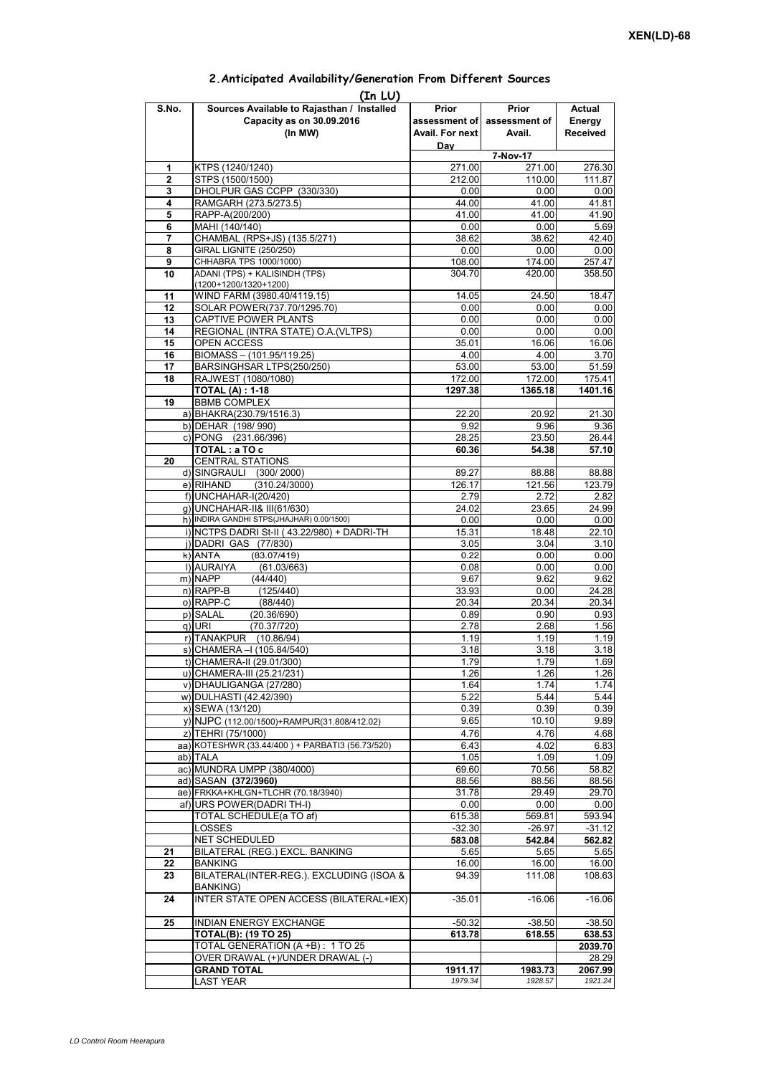| (In LU)        |                                                 |                 |                             |                 |  |  |  |  |  |
|----------------|-------------------------------------------------|-----------------|-----------------------------|-----------------|--|--|--|--|--|
| S.No.          | Sources Available to Rajasthan / Installed      | Prior           | Prior                       | Actual          |  |  |  |  |  |
|                | Capacity as on 30.09.2016                       |                 | assessment of assessment of | Energy          |  |  |  |  |  |
|                | (In MW)                                         | Avail. For next | Avail.                      | <b>Received</b> |  |  |  |  |  |
|                |                                                 | Day             |                             |                 |  |  |  |  |  |
|                |                                                 | 7-Nov-17        |                             |                 |  |  |  |  |  |
| 1              | KTPS (1240/1240)                                | 271.00          | 271.00                      | 276.30          |  |  |  |  |  |
| $\overline{2}$ | STPS (1500/1500)                                | 212.00          | 110.00                      | 111.87          |  |  |  |  |  |
| 3              | DHOLPUR GAS CCPP (330/330)                      | 0.00            | 0.00                        | 0.00            |  |  |  |  |  |
| 4              | RAMGARH (273.5/273.5)                           | 44.00           | 41.00                       | 41.81           |  |  |  |  |  |
| 5              | RAPP-A(200/200)                                 | 41.00           | 41.00                       | 41.90           |  |  |  |  |  |
| 6              | MAHI (140/140)                                  | 0.00            | 0.00                        | 5.69            |  |  |  |  |  |
| 7              | CHAMBAL (RPS+JS) (135.5/271)                    | 38.62           | 38.62                       | 42.40           |  |  |  |  |  |
| 8              | <b>GIRAL LIGNITE (250/250)</b>                  | 0.00            | 0.00                        | 0.00            |  |  |  |  |  |
| 9              | CHHABRA TPS 1000/1000)                          | 108.00          | 174.00                      | 257.47          |  |  |  |  |  |
| 10             | ADANI (TPS) + KALISINDH (TPS)                   | 304.70          | 420.00                      | 358.50          |  |  |  |  |  |
|                | (1200+1200/1320+1200)                           |                 |                             |                 |  |  |  |  |  |
| 11             | WIND FARM (3980.40/4119.15)                     | 14.05           | 24.50                       | 18.47           |  |  |  |  |  |
| 12             | SOLAR POWER(737.70/1295.70)                     | 0.00            | 0.00                        | 0.00            |  |  |  |  |  |
| 13             | CAPTIVE POWER PLANTS                            | 0.00            | 0.00                        | 0.00            |  |  |  |  |  |
| 14             | REGIONAL (INTRA STATE) O.A. (VLTPS)             | 0.00            | 0.00                        | 0.00            |  |  |  |  |  |
| 15             | OPEN ACCESS                                     | 35.01           | 16.06                       | 16.06           |  |  |  |  |  |
| 16             | BIOMASS - (101.95/119.25)                       | 4.00            | 4.00                        | 3.70            |  |  |  |  |  |
| 17             | BARSINGHSAR LTPS(250/250)                       | 53.00           | 53.00                       | 51.59           |  |  |  |  |  |
| 18             | RAJWEST (1080/1080)                             | 172.00          | 172.00                      | 175.41          |  |  |  |  |  |
|                | <b>TOTAL (A): 1-18</b>                          | 1297.38         | 1365.18                     | 1401.16         |  |  |  |  |  |
| 19             | <b>BBMB COMPLEX</b>                             |                 |                             |                 |  |  |  |  |  |
|                | a) BHAKRA(230.79/1516.3)                        | 22.20           | 20.92                       | 21.30           |  |  |  |  |  |
|                | b) DEHAR (198/990)                              | 9.92            | 9.96                        | 9.36            |  |  |  |  |  |
|                |                                                 |                 |                             |                 |  |  |  |  |  |
|                | c) PONG (231.66/396)                            | 28.25           | 23.50                       | 26.44           |  |  |  |  |  |
|                | TOTAL: a TO c                                   | 60.36           | 54.38                       | 57.10           |  |  |  |  |  |
| 20             | <b>CENTRAL STATIONS</b>                         |                 |                             |                 |  |  |  |  |  |
|                | d) SINGRAULI (300/2000)                         | 89.27           | 88.88                       | 88.88           |  |  |  |  |  |
|                | e) RIHAND<br>(310.24/3000)                      | 126.17          | 121.56                      | 123.79          |  |  |  |  |  |
|                | f) UNCHAHAR-I(20/420)                           | 2.79            | 2.72                        | 2.82            |  |  |  |  |  |
|                | g) UNCHAHAR-II& III(61/630)                     | 24.02           | 23.65                       | 24.99           |  |  |  |  |  |
|                | h) INDIRA GANDHI STPS(JHAJHAR) 0.00/1500)       | 0.00            | 0.00                        | 0.00            |  |  |  |  |  |
|                | i) NCTPS DADRI St-II (43.22/980) + DADRI-TH     | 15.31           | 18.48                       | 22.10           |  |  |  |  |  |
|                | j) DADRI GAS (77/830)                           | 3.05            | 3.04                        | 3.10            |  |  |  |  |  |
|                | $k)$ ANTA<br>(83.07/419)                        | 0.22            | 0.00                        | 0.00            |  |  |  |  |  |
|                | I) AURAIYA<br>(61.03/663)                       | 0.08            | 0.00                        | 0.00            |  |  |  |  |  |
|                | m) NAPP<br>(44/440)                             | 9.67            | 9.62                        | 9.62            |  |  |  |  |  |
|                | $n)$ RAPP-B<br>(125/440)                        | 33.93           | 0.00                        | 24.28           |  |  |  |  |  |
|                | o) RAPP-C<br>(88/440)                           | 20.34           | 20.34                       | 20.34           |  |  |  |  |  |
|                | p) SALAL<br>(20.36/690)                         | 0.89            | 0.90                        | 0.93            |  |  |  |  |  |
|                | q) URI<br>(70.37/720)                           | 2.78            | 2.68                        | 1.56            |  |  |  |  |  |
|                | r) TANAKPUR (10.86/94)                          | 1.19            | 1.19                        | 1.19            |  |  |  |  |  |
|                | s) CHAMERA - (105.84/540)                       | 3.18            | 3.18                        | 3.18            |  |  |  |  |  |
|                | t) CHAMERA-II (29.01/300)                       | 1.79            | 1.79                        | 1.69            |  |  |  |  |  |
|                | u) CHAMERA-III (25.21/231)                      | 1.26            | 1.26                        | 1.26            |  |  |  |  |  |
|                | v) DHAULIGANGA (27/280)                         | 1.64            | 1.74                        | 1.74            |  |  |  |  |  |
|                | w) DULHASTI (42.42/390)                         | 5.22            | 5.44                        | 5.44            |  |  |  |  |  |
|                | x) SEWA (13/120)                                | 0.39            | 0.39                        | 0.39            |  |  |  |  |  |
|                | y) NJPC (112.00/1500) + RAMPUR(31.808/412.02)   | 9.65            | 10.10                       | 9.89            |  |  |  |  |  |
|                | z) TEHRI (75/1000)                              | 4.76            | 4.76                        | 4.68            |  |  |  |  |  |
|                | aa) KOTESHWR (33.44/400) + PARBATI3 (56.73/520) | 6.43            | 4.02                        | 6.83            |  |  |  |  |  |
|                | ab) TALA                                        | 1.05            | 1.09                        | 1.09            |  |  |  |  |  |
|                | ac) MUNDRA UMPP (380/4000)                      |                 | 70.56                       | 58.82           |  |  |  |  |  |
|                |                                                 | 69.60           |                             |                 |  |  |  |  |  |
|                | ad) SASAN (372/3960)                            | 88.56           | 88.56                       | 88.56           |  |  |  |  |  |
|                | ae) FRKKA+KHLGN+TLCHR (70.18/3940)              | 31.78           | 29.49                       | 29.70           |  |  |  |  |  |
|                | af) URS POWER(DADRI TH-I)                       | 0.00            | 0.00                        | 0.00            |  |  |  |  |  |
|                | TOTAL SCHEDULE(a TO af)                         | 615.38          | 569.81                      | 593.94          |  |  |  |  |  |
|                | LOSSES                                          | $-32.30$        | $-26.97$                    | $-31.12$        |  |  |  |  |  |
|                | NET SCHEDULED                                   | 583.08          | 542.84                      | 562.82          |  |  |  |  |  |
| 21             | BILATERAL (REG.) EXCL. BANKING                  | 5.65            | 5.65                        | 5.65            |  |  |  |  |  |
| 22             | <b>BANKING</b>                                  | 16.00           | 16.00                       | 16.00           |  |  |  |  |  |
| 23             | BILATERAL(INTER-REG.). EXCLUDING (ISOA &        | 94.39           | 111.08                      | 108.63          |  |  |  |  |  |
|                | BANKING)                                        |                 |                             |                 |  |  |  |  |  |
| 24             | INTER STATE OPEN ACCESS (BILATERAL+IEX)         | $-35.01$        | $-16.06$                    | $-16.06$        |  |  |  |  |  |
|                |                                                 |                 |                             |                 |  |  |  |  |  |
| 25             | INDIAN ENERGY EXCHANGE                          | $-50.32$        | $-38.50$                    | $-38.50$        |  |  |  |  |  |
|                | TOTAL(B): (19 TO 25)                            | 613.78          | 618.55                      | 638.53          |  |  |  |  |  |
|                | TOTAL GENERATION (A +B) : 1 TO 25               |                 |                             | 2039.70         |  |  |  |  |  |
|                | OVER DRAWAL (+)/UNDER DRAWAL (-)                |                 |                             | 28.29           |  |  |  |  |  |
|                | <b>GRAND TOTAL</b>                              | 1911.17         | 1983.73                     | 2067.99         |  |  |  |  |  |
|                | <b>LAST YEAR</b>                                | 1979.34         | 1928.57                     | 1921.24         |  |  |  |  |  |

## **2.Anticipated Availability/Generation From Different Sources**